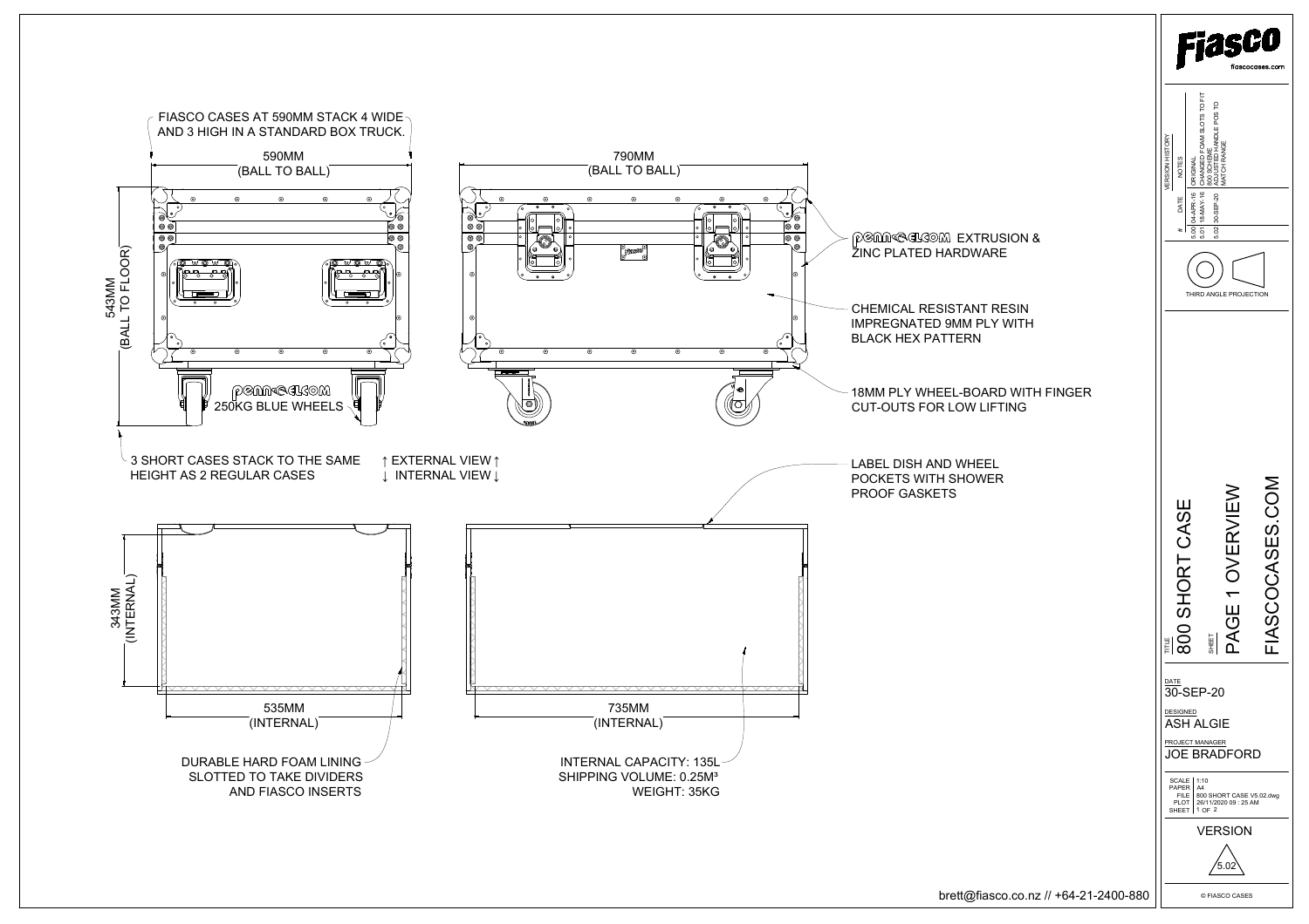